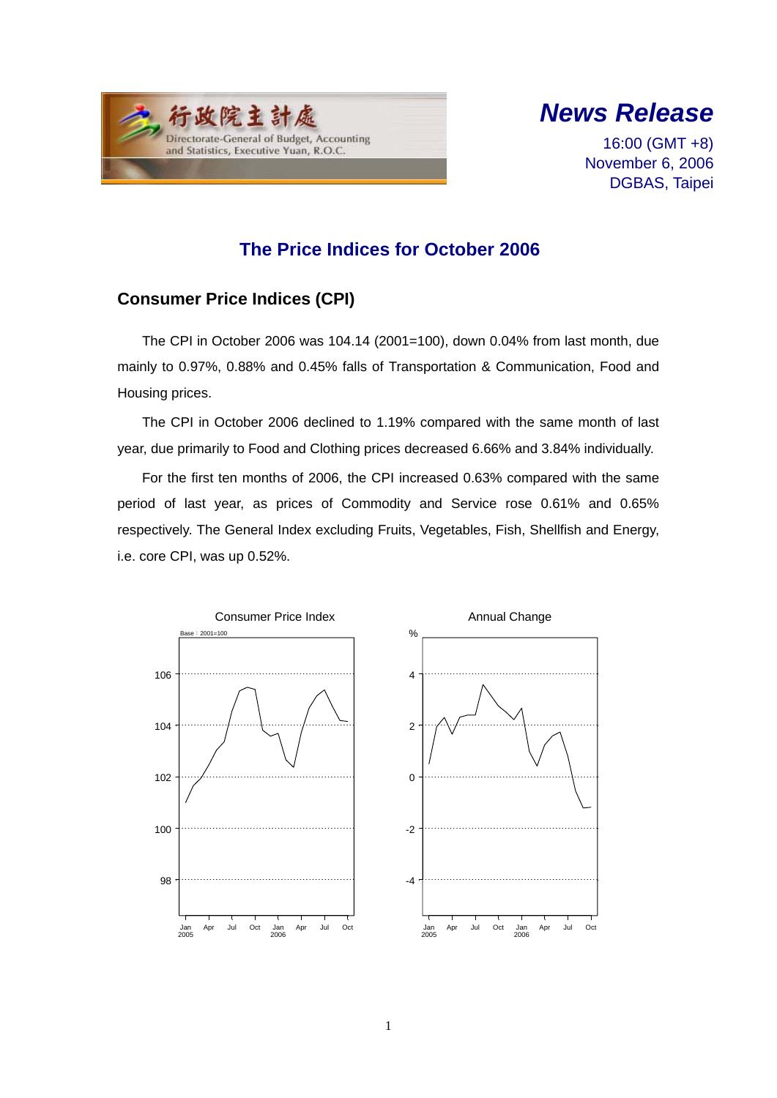



16:00 (GMT +8) November 6, 2006 DGBAS, Taipei

# **The Price Indices for October 2006**

## **Consumer Price Indices (CPI)**

The CPI in October 2006 was 104.14 (2001=100), down 0.04% from last month, due mainly to 0.97%, 0.88% and 0.45% falls of Transportation & Communication, Food and Housing prices.

The CPI in October 2006 declined to 1.19% compared with the same month of last year, due primarily to Food and Clothing prices decreased 6.66% and 3.84% individually.

For the first ten months of 2006, the CPI increased 0.63% compared with the same period of last year, as prices of Commodity and Service rose 0.61% and 0.65% respectively. The General Index excluding Fruits, Vegetables, Fish, Shellfish and Energy, i.e. core CPI, was up 0.52%.

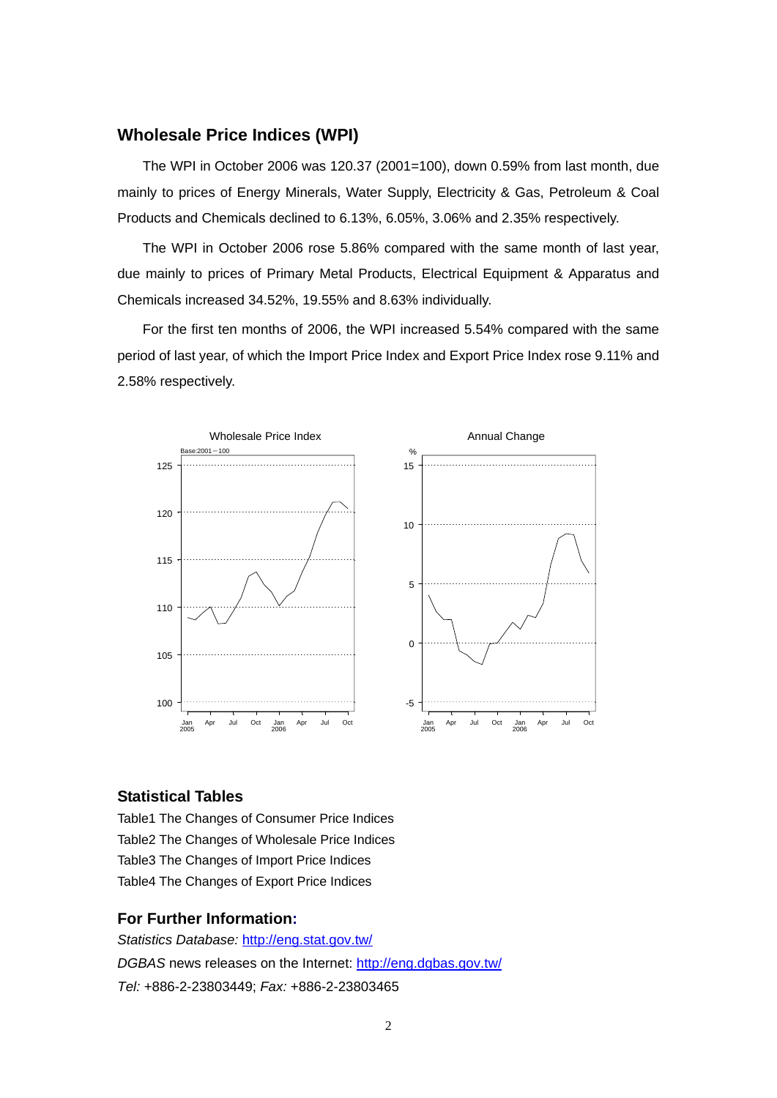### **Wholesale Price Indices (WPI)**

The WPI in October 2006 was 120.37 (2001=100), down 0.59% from last month, due mainly to prices of Energy Minerals, Water Supply, Electricity & Gas, Petroleum & Coal Products and Chemicals declined to 6.13%, 6.05%, 3.06% and 2.35% respectively.

The WPI in October 2006 rose 5.86% compared with the same month of last year, due mainly to prices of Primary Metal Products, Electrical Equipment & Apparatus and Chemicals increased 34.52%, 19.55% and 8.63% individually.

For the first ten months of 2006, the WPI increased 5.54% compared with the same period of last year, of which the Import Price Index and Export Price Index rose 9.11% and 2.58% respectively.



### **Statistical Tables**

Table1 The Changes of Consumer Price Indices Table2 The Changes of Wholesale Price Indices Table3 The Changes of Import Price Indices Table4 The Changes of Export Price Indices

#### **For Further Information:**

*Statistics Database:* http://eng.stat.gov.tw/ *DGBAS* news releases on the Internet: http://eng.dgbas.gov.tw/ *Tel:* +886-2-23803449; *Fax:* +886-2-23803465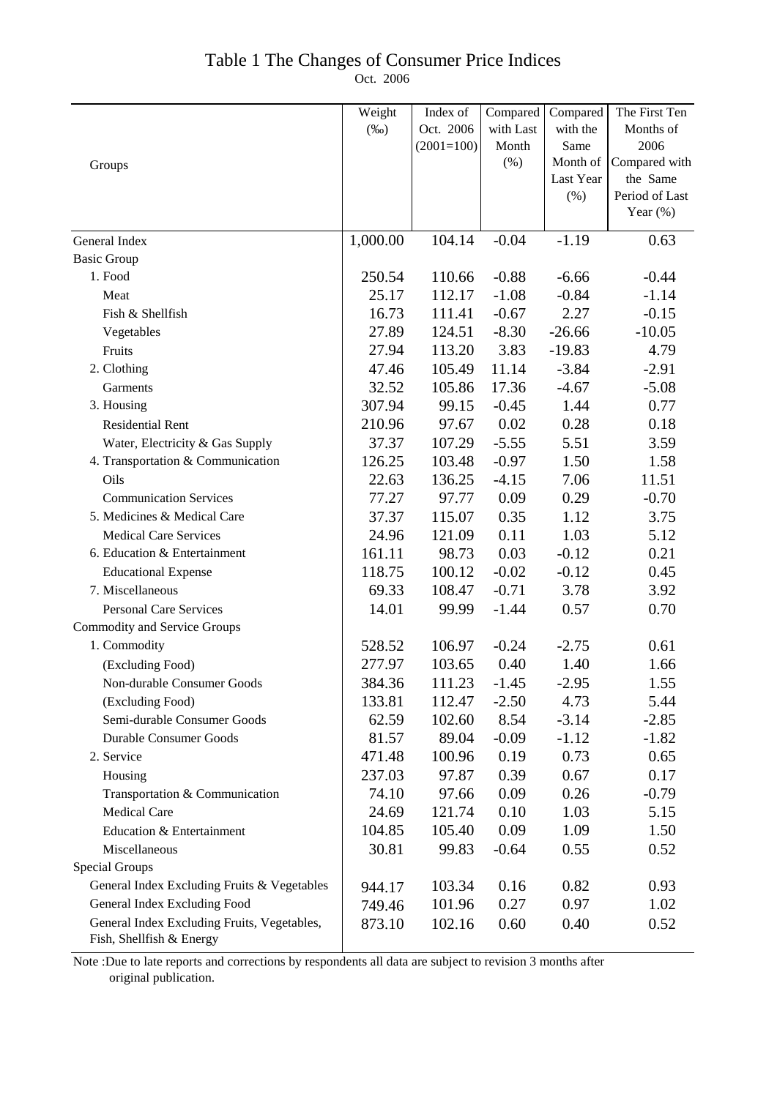## Table 1 The Changes of Consumer Price Indices

Oct. 2006

|                                                                         | Weight   | Index of     | Compared  | Compared  | The First Ten                 |
|-------------------------------------------------------------------------|----------|--------------|-----------|-----------|-------------------------------|
|                                                                         | $(\%0)$  | Oct. 2006    | with Last | with the  | Months of                     |
|                                                                         |          | $(2001=100)$ | Month     | Same      | 2006                          |
| Groups                                                                  |          |              | $(\% )$   | Month of  | Compared with                 |
|                                                                         |          |              |           | Last Year | the Same                      |
|                                                                         |          |              |           | (% )      | Period of Last<br>Year $(\%)$ |
|                                                                         |          |              |           |           |                               |
| General Index                                                           | 1,000.00 | 104.14       | $-0.04$   | $-1.19$   | 0.63                          |
| <b>Basic Group</b>                                                      |          |              |           |           |                               |
| 1. Food                                                                 | 250.54   | 110.66       | $-0.88$   | $-6.66$   | $-0.44$                       |
| Meat                                                                    | 25.17    | 112.17       | $-1.08$   | $-0.84$   | $-1.14$                       |
| Fish & Shellfish                                                        | 16.73    | 111.41       | $-0.67$   | 2.27      | $-0.15$                       |
| Vegetables                                                              | 27.89    | 124.51       | $-8.30$   | $-26.66$  | $-10.05$                      |
| Fruits                                                                  | 27.94    | 113.20       | 3.83      | $-19.83$  | 4.79                          |
| 2. Clothing                                                             | 47.46    | 105.49       | 11.14     | $-3.84$   | $-2.91$                       |
| Garments                                                                | 32.52    | 105.86       | 17.36     | $-4.67$   | $-5.08$                       |
| 3. Housing                                                              | 307.94   | 99.15        | $-0.45$   | 1.44      | 0.77                          |
| <b>Residential Rent</b>                                                 | 210.96   | 97.67        | 0.02      | 0.28      | 0.18                          |
| Water, Electricity & Gas Supply                                         | 37.37    | 107.29       | $-5.55$   | 5.51      | 3.59                          |
| 4. Transportation & Communication                                       | 126.25   | 103.48       | $-0.97$   | 1.50      | 1.58                          |
| Oils                                                                    | 22.63    | 136.25       | $-4.15$   | 7.06      | 11.51                         |
| <b>Communication Services</b>                                           | 77.27    | 97.77        | 0.09      | 0.29      | $-0.70$                       |
| 5. Medicines & Medical Care                                             | 37.37    | 115.07       | 0.35      | 1.12      | 3.75                          |
| <b>Medical Care Services</b>                                            | 24.96    | 121.09       | 0.11      | 1.03      | 5.12                          |
| 6. Education & Entertainment                                            | 161.11   | 98.73        | 0.03      | $-0.12$   | 0.21                          |
| <b>Educational Expense</b>                                              | 118.75   | 100.12       | $-0.02$   | $-0.12$   | 0.45                          |
| 7. Miscellaneous                                                        | 69.33    | 108.47       | $-0.71$   | 3.78      | 3.92                          |
| Personal Care Services                                                  | 14.01    | 99.99        | $-1.44$   | 0.57      | 0.70                          |
| <b>Commodity and Service Groups</b>                                     |          |              |           |           |                               |
| 1. Commodity                                                            | 528.52   | 106.97       | $-0.24$   | $-2.75$   | 0.61                          |
| (Excluding Food)                                                        | 277.97   | 103.65       | 0.40      | 1.40      | 1.66                          |
| Non-durable Consumer Goods                                              | 384.36   | 111.23       | $-1.45$   | $-2.95$   | 1.55                          |
| (Excluding Food)                                                        | 133.81   | 112.47       | $-2.50$   | 4.73      | 5.44                          |
| Semi-durable Consumer Goods                                             | 62.59    | 102.60       | 8.54      | $-3.14$   | $-2.85$                       |
| <b>Durable Consumer Goods</b>                                           | 81.57    | 89.04        | $-0.09$   | $-1.12$   | $-1.82$                       |
| 2. Service                                                              | 471.48   | 100.96       | 0.19      | 0.73      | 0.65                          |
| Housing                                                                 | 237.03   | 97.87        | 0.39      | 0.67      | 0.17                          |
| Transportation & Communication                                          | 74.10    | 97.66        | 0.09      | 0.26      | $-0.79$                       |
| <b>Medical Care</b>                                                     | 24.69    | 121.74       | 0.10      | 1.03      | 5.15                          |
| Education & Entertainment                                               | 104.85   | 105.40       | 0.09      | 1.09      | 1.50                          |
| Miscellaneous                                                           | 30.81    | 99.83        | $-0.64$   | 0.55      | 0.52                          |
| <b>Special Groups</b>                                                   |          |              |           |           |                               |
| General Index Excluding Fruits & Vegetables                             | 944.17   | 103.34       | 0.16      | 0.82      | 0.93                          |
| General Index Excluding Food                                            | 749.46   | 101.96       | 0.27      | 0.97      | 1.02                          |
| General Index Excluding Fruits, Vegetables,<br>Fish, Shellfish & Energy | 873.10   | 102.16       | 0.60      | 0.40      | 0.52                          |
|                                                                         |          |              |           |           |                               |

Note :Due to late reports and corrections by respondents all data are subject to revision 3 months after original publication.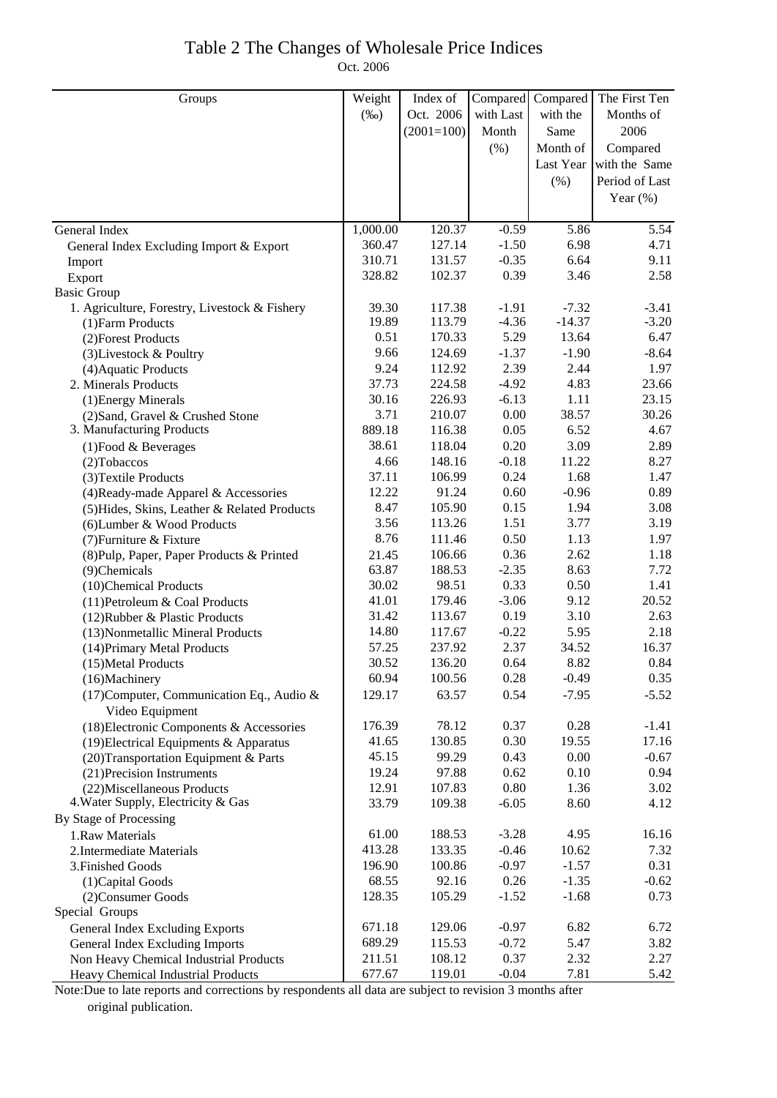## Table 2 The Changes of Wholesale Price Indices Oct. 2006

| Groups                                                              | Weight         | Index of        | Compared        | Compared     | The First Ten             |
|---------------------------------------------------------------------|----------------|-----------------|-----------------|--------------|---------------------------|
|                                                                     | $(\%0)$        | Oct. 2006       | with Last       | with the     | Months of                 |
|                                                                     |                | $(2001=100)$    | Month           | Same         | 2006                      |
|                                                                     |                |                 |                 | Month of     |                           |
|                                                                     |                |                 | (% )            |              | Compared<br>with the Same |
|                                                                     |                |                 |                 | Last Year    |                           |
|                                                                     |                |                 |                 | (%)          | Period of Last            |
|                                                                     |                |                 |                 |              | Year $(\%)$               |
| General Index                                                       | 1,000.00       | 120.37          | $-0.59$         | 5.86         | 5.54                      |
| General Index Excluding Import & Export                             | 360.47         | 127.14          | $-1.50$         | 6.98         | 4.71                      |
| Import                                                              | 310.71         | 131.57          | $-0.35$         | 6.64         | 9.11                      |
| Export                                                              | 328.82         | 102.37          | 0.39            | 3.46         | 2.58                      |
| <b>Basic Group</b>                                                  |                |                 |                 |              |                           |
| 1. Agriculture, Forestry, Livestock & Fishery                       | 39.30          | 117.38          | $-1.91$         | $-7.32$      | $-3.41$                   |
| (1) Farm Products                                                   | 19.89          | 113.79          | $-4.36$         | $-14.37$     | $-3.20$                   |
| (2) Forest Products                                                 | 0.51           | 170.33          | 5.29            | 13.64        | 6.47                      |
| (3) Livestock & Poultry                                             | 9.66           | 124.69          | $-1.37$         | $-1.90$      | $-8.64$                   |
| (4) Aquatic Products                                                | 9.24           | 112.92          | 2.39            | 2.44         | 1.97                      |
| 2. Minerals Products                                                | 37.73          | 224.58          | $-4.92$         | 4.83         | 23.66                     |
| (1) Energy Minerals                                                 | 30.16          | 226.93          | $-6.13$         | 1.11         | 23.15                     |
| (2) Sand, Gravel & Crushed Stone                                    | 3.71           | 210.07          | 0.00            | 38.57        | 30.26                     |
| 3. Manufacturing Products                                           | 889.18         | 116.38          | 0.05            | 6.52         | 4.67                      |
| $(1)$ Food & Beverages                                              | 38.61          | 118.04          | 0.20            | 3.09         | 2.89                      |
| $(2)$ Tobaccos                                                      | 4.66           | 148.16          | $-0.18$         | 11.22        | 8.27                      |
| (3) Textile Products                                                | 37.11          | 106.99          | 0.24            | 1.68         | 1.47                      |
| (4) Ready-made Apparel & Accessories                                | 12.22          | 91.24           | 0.60            | $-0.96$      | 0.89                      |
| (5) Hides, Skins, Leather & Related Products                        | 8.47           | 105.90          | 0.15            | 1.94         | 3.08                      |
| (6) Lumber & Wood Products                                          | 3.56           | 113.26          | 1.51            | 3.77         | 3.19                      |
| (7) Furniture & Fixture                                             | 8.76           | 111.46          | 0.50            | 1.13         | 1.97                      |
| (8) Pulp, Paper, Paper Products & Printed                           | 21.45          | 106.66          | 0.36            | 2.62         | 1.18                      |
| (9)Chemicals                                                        | 63.87<br>30.02 | 188.53<br>98.51 | $-2.35$<br>0.33 | 8.63<br>0.50 | 7.72<br>1.41              |
| (10)Chemical Products                                               | 41.01          | 179.46          | $-3.06$         | 9.12         | 20.52                     |
| (11) Petroleum & Coal Products                                      | 31.42          | 113.67          | 0.19            | 3.10         | 2.63                      |
| (12) Rubber & Plastic Products<br>(13) Nonmetallic Mineral Products | 14.80          | 117.67          | $-0.22$         | 5.95         | 2.18                      |
| (14) Primary Metal Products                                         | 57.25          | 237.92          | 2.37            | 34.52        | 16.37                     |
| (15) Metal Products                                                 | 30.52          | 136.20          | 0.64            | 8.82         | 0.84                      |
| (16)Machinery                                                       | 60.94          | 100.56          | 0.28            | $-0.49$      | 0.35                      |
| (17) Computer, Communication Eq., Audio &                           | 129.17         | 63.57           | 0.54            | $-7.95$      | $-5.52$                   |
| Video Equipment                                                     |                |                 |                 |              |                           |
| (18) Electronic Components & Accessories                            | 176.39         | 78.12           | 0.37            | 0.28         | $-1.41$                   |
| (19) Electrical Equipments & Apparatus                              | 41.65          | 130.85          | 0.30            | 19.55        | 17.16                     |
| (20) Transportation Equipment & Parts                               | 45.15          | 99.29           | 0.43            | 0.00         | $-0.67$                   |
| (21) Precision Instruments                                          | 19.24          | 97.88           | 0.62            | 0.10         | 0.94                      |
| (22) Miscellaneous Products                                         | 12.91          | 107.83          | 0.80            | 1.36         | 3.02                      |
| 4. Water Supply, Electricity & Gas                                  | 33.79          | 109.38          | $-6.05$         | 8.60         | 4.12                      |
| By Stage of Processing                                              |                |                 |                 |              |                           |
| 1.Raw Materials                                                     | 61.00          | 188.53          | $-3.28$         | 4.95         | 16.16                     |
| 2. Intermediate Materials                                           | 413.28         | 133.35          | $-0.46$         | 10.62        | 7.32                      |
| 3. Finished Goods                                                   | 196.90         | 100.86          | $-0.97$         | $-1.57$      | 0.31                      |
| (1) Capital Goods                                                   | 68.55          | 92.16           | 0.26            | $-1.35$      | $-0.62$                   |
| (2) Consumer Goods                                                  | 128.35         | 105.29          | $-1.52$         | $-1.68$      | 0.73                      |
| Special Groups                                                      |                |                 |                 |              |                           |
| <b>General Index Excluding Exports</b>                              | 671.18         | 129.06          | $-0.97$         | 6.82         | 6.72                      |
| General Index Excluding Imports                                     | 689.29         | 115.53          | $-0.72$         | 5.47         | 3.82                      |
| Non Heavy Chemical Industrial Products                              | 211.51         | 108.12          | 0.37            | 2.32         | 2.27                      |
| Heavy Chemical Industrial Products                                  | 677.67         | 119.01          | $-0.04$         | 7.81         | 5.42                      |

Note:Due to late reports and corrections by respondents all data are subject to revision 3 months after original publication.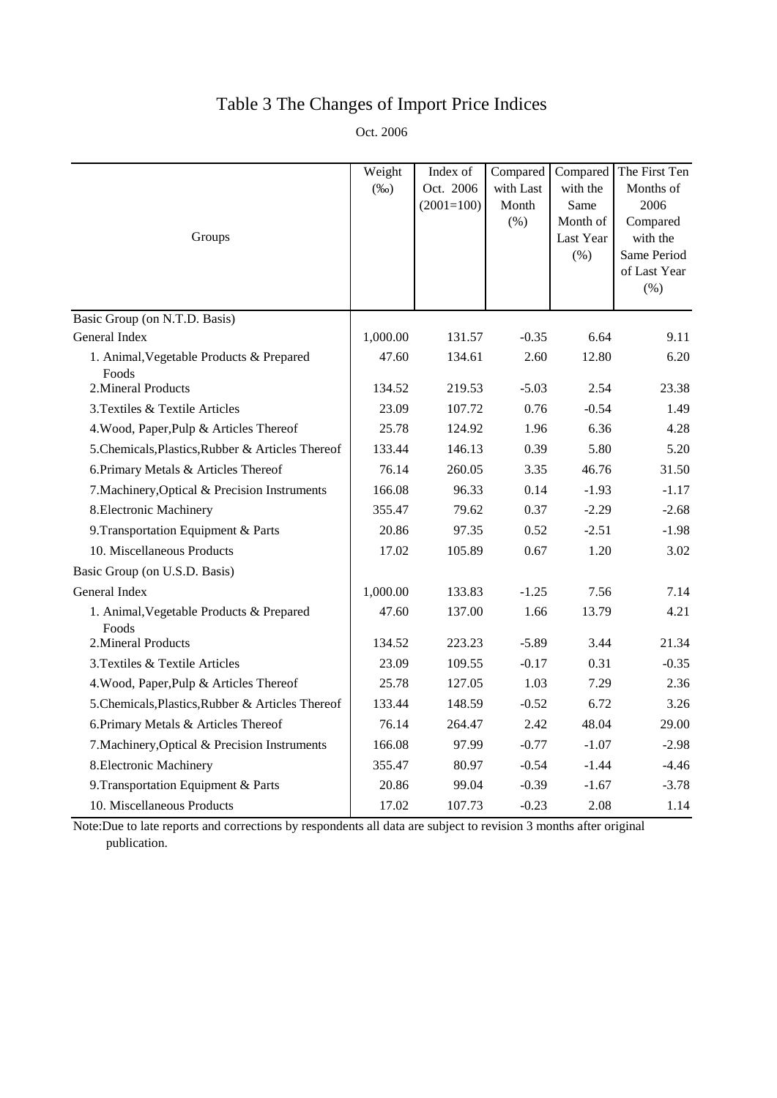# Table 3 The Changes of Import Price Indices

Oct. 2006

|                                                   | Weight   | Index of     | Compared  | Compared  | The First Ten           |
|---------------------------------------------------|----------|--------------|-----------|-----------|-------------------------|
|                                                   | $(\%0)$  | Oct. 2006    | with Last | with the  | Months of               |
|                                                   |          | $(2001=100)$ | Month     | Same      | 2006                    |
|                                                   |          |              | (% )      | Month of  | Compared                |
| Groups                                            |          |              |           | Last Year | with the<br>Same Period |
|                                                   |          |              |           | (% )      | of Last Year            |
|                                                   |          |              |           |           | (% )                    |
| Basic Group (on N.T.D. Basis)                     |          |              |           |           |                         |
| General Index                                     | 1,000.00 | 131.57       | $-0.35$   | 6.64      | 9.11                    |
| 1. Animal, Vegetable Products & Prepared          | 47.60    | 134.61       | 2.60      | 12.80     | 6.20                    |
| Foods                                             |          |              |           |           |                         |
| 2. Mineral Products                               | 134.52   | 219.53       | $-5.03$   | 2.54      | 23.38                   |
| 3. Textiles & Textile Articles                    | 23.09    | 107.72       | 0.76      | $-0.54$   | 1.49                    |
| 4. Wood, Paper, Pulp & Articles Thereof           | 25.78    | 124.92       | 1.96      | 6.36      | 4.28                    |
| 5. Chemicals, Plastics, Rubber & Articles Thereof | 133.44   | 146.13       | 0.39      | 5.80      | 5.20                    |
| 6. Primary Metals & Articles Thereof              | 76.14    | 260.05       | 3.35      | 46.76     | 31.50                   |
| 7. Machinery, Optical & Precision Instruments     | 166.08   | 96.33        | 0.14      | $-1.93$   | $-1.17$                 |
| 8. Electronic Machinery                           | 355.47   | 79.62        | 0.37      | $-2.29$   | $-2.68$                 |
| 9. Transportation Equipment & Parts               | 20.86    | 97.35        | 0.52      | $-2.51$   | $-1.98$                 |
| 10. Miscellaneous Products                        | 17.02    | 105.89       | 0.67      | 1.20      | 3.02                    |
| Basic Group (on U.S.D. Basis)                     |          |              |           |           |                         |
| General Index                                     | 1,000.00 | 133.83       | $-1.25$   | 7.56      | 7.14                    |
| 1. Animal, Vegetable Products & Prepared<br>Foods | 47.60    | 137.00       | 1.66      | 13.79     | 4.21                    |
| 2. Mineral Products                               | 134.52   | 223.23       | $-5.89$   | 3.44      | 21.34                   |
| 3. Textiles & Textile Articles                    | 23.09    | 109.55       | $-0.17$   | 0.31      | $-0.35$                 |
| 4. Wood, Paper, Pulp & Articles Thereof           | 25.78    | 127.05       | 1.03      | 7.29      | 2.36                    |
| 5. Chemicals, Plastics, Rubber & Articles Thereof | 133.44   | 148.59       | $-0.52$   | 6.72      | 3.26                    |
| 6. Primary Metals & Articles Thereof              | 76.14    | 264.47       | 2.42      | 48.04     | 29.00                   |
| 7. Machinery, Optical & Precision Instruments     | 166.08   | 97.99        | $-0.77$   | $-1.07$   | $-2.98$                 |
| 8. Electronic Machinery                           | 355.47   | 80.97        | $-0.54$   | $-1.44$   | $-4.46$                 |
| 9. Transportation Equipment & Parts               | 20.86    | 99.04        | $-0.39$   | $-1.67$   | $-3.78$                 |
| 10. Miscellaneous Products                        | 17.02    | 107.73       | $-0.23$   | 2.08      | 1.14                    |

Note:Due to late reports and corrections by respondents all data are subject to revision 3 months after original publication.